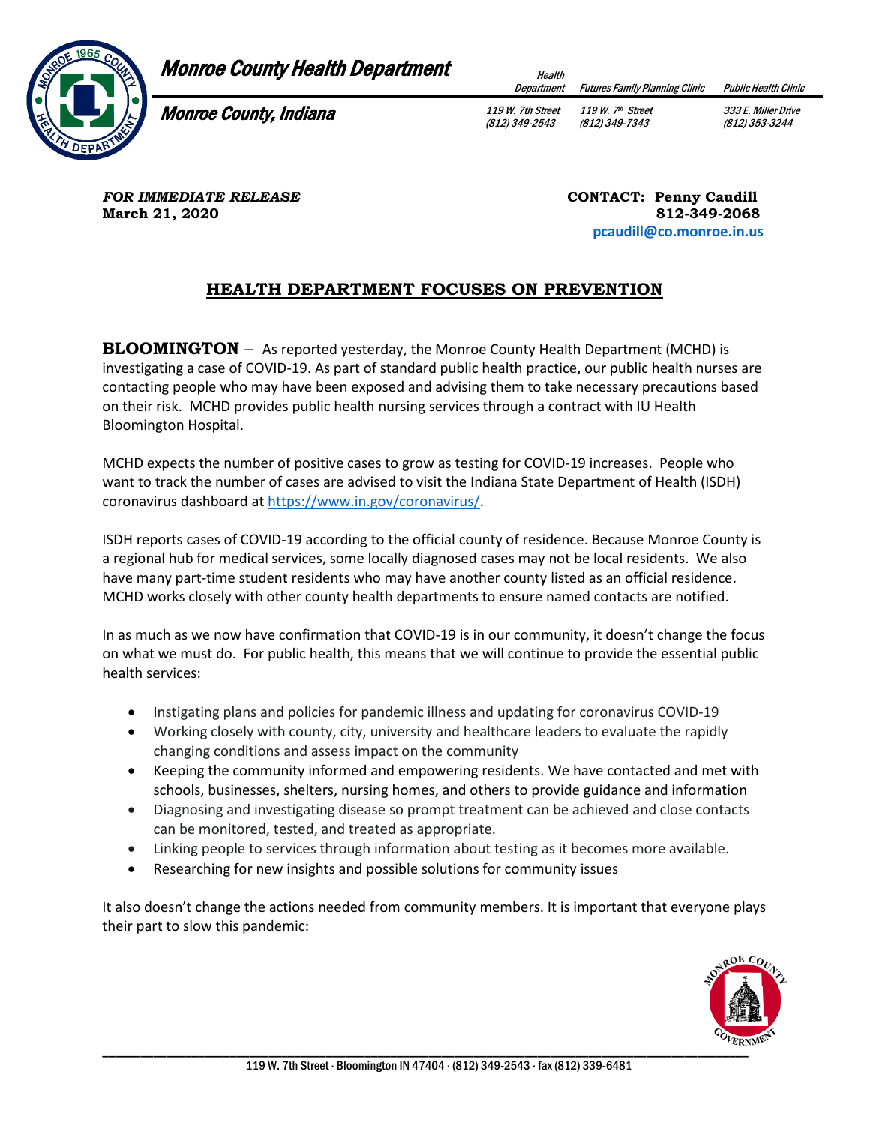

## Monroe County Health Department **Health**

Department Futures Family Planning Clinic Public Health Clinic

**Monroe County, Indiana** 119 W. 7th Street

(812) 349-2543

119 W. 7th Street (812) 349-7343

333 E. Miller Drive (812) 353-3244

**FOR IMMEDIATE RELEASE CONTACT: Penny Caudill March 21, 2020** 812-349-2068

 **[pcaudill@co.monroe.in.us](mailto:pcaudill@co.monroe.in.us)** 

## **HEALTH DEPARTMENT FOCUSES ON PREVENTION**

**BLOOMINGTON** – As reported yesterday, the Monroe County Health Department (MCHD) is investigating a case of COVID-19. As part of standard public health practice, our public health nurses are contacting people who may have been exposed and advising them to take necessary precautions based on their risk. MCHD provides public health nursing services through a contract with IU Health Bloomington Hospital.

MCHD expects the number of positive cases to grow as testing for COVID-19 increases. People who want to track the number of cases are advised to visit the Indiana State Department of Health (ISDH) coronavirus dashboard a[t https://www.in.gov/coronavirus/.](https://www.in.gov/coronavirus/)

ISDH reports cases of COVID-19 according to the official county of residence. Because Monroe County is a regional hub for medical services, some locally diagnosed cases may not be local residents. We also have many part-time student residents who may have another county listed as an official residence. MCHD works closely with other county health departments to ensure named contacts are notified.

In as much as we now have confirmation that COVID-19 is in our community, it doesn't change the focus on what we must do. For public health, this means that we will continue to provide the essential public health services:

- Instigating plans and policies for pandemic illness and updating for coronavirus COVID-19
- Working closely with county, city, university and healthcare leaders to evaluate the rapidly changing conditions and assess impact on the community
- Keeping the community informed and empowering residents. We have contacted and met with schools, businesses, shelters, nursing homes, and others to provide guidance and information
- Diagnosing and investigating disease so prompt treatment can be achieved and close contacts can be monitored, tested, and treated as appropriate.
- Linking people to services through information about testing as it becomes more available.
- Researching for new insights and possible solutions for community issues

It also doesn't change the actions needed from community members. It is important that everyone plays their part to slow this pandemic: